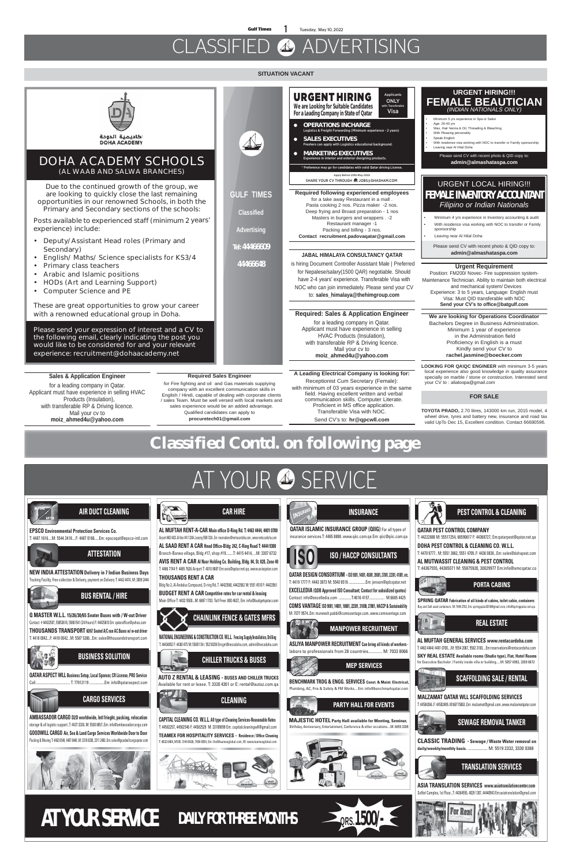**Gulf Times 1** Tuesday, May 10, 2022

# CLASSIFIED **49** ADVERTISING







内面 **PORTA CABINS**

**QATAR DESIGN CONSORTIUM -ISO 9001, 14001, 45001, 39001, 27001, 22301, 41001, etc.** T: 4419 1777 F: 4443 3873 M: 5540 6516 ...................Em: jenson@qdcqatar.net **EXCELLEDIA (QDB Approved ISO Consultant; Contact for subsidized quotes)** Contact: info@excelledia.com ..............T:4016 4157................. M:6685 4425 **COMS VANTAGE ISO 9001, 14001, 18001, 22301, 31000, 27001, HACCP & Sustainability** M: 7077 9574..Em: muneesh.pabbi@comsvantage.com..www.comsvantage.com

**INSURANCE**



## **PARTY HALL FOR EVENTS**

**MAJESTIC HOTEL Party Hall available for Meeting, Seminar,** Birthday, Anniversary, Entertainment, Conference & other occations....M: 6655 3309



**PEST CONTROL & CLEANING**

**QATAR PEST CONTROL COMPANY**

**VEIN** 



T: 44222888 M: 55517254, 66590617 F: 44368727, Em:qatarpest@qatar.net.qa **DOHA PEST CONTROL & CLEANING CO. W.L.L.** 

T: 4470 9777.. M: 5551 3862, 5551 4709..F: 4436 0838...Em: sales@dohapest.com

**AL MUTWASSIT CLEANING & PEST CONTROL** T: 44367555, 44365071 M: 55875920, 30029977 Em:info@amcqatar.co



**MEP SERVICES**

**BENCHMARK TRDG & ENGG. SERVICES Const. & Maint. Electrical,**

Plumbing, AC, Fire & Safety & FM Works... Em: info@benchmarkqatar.com

## **MANPOWER RECRUITMENT**

**ASLIYA MANPOWER RECRUITMENT Can bring all kinds of workers**  labors to professionals from 28 countries............. M: 7033 8066







**MALZAMAT QATAR WLL SCAFFOLDING SERVICES**





**ASIA TRANSLATION SERVICES www.asiatranslationcenter.com** Sofitel Complex, 1st Floor...T: 44364555, 4029 1307, 44440943 Em:asiatranslation@gmail.com



**CLASSIC TRADING - Sewage / Waste Water removal on daily/weekly/monthly basis.** .................. M: 5519 2332, 3330 0388

**AL MUFTAH GENERAL SERVICES www.rentacardoha.com**

T: 4463 4444/ 4401 0700....M: 5554 2067, 5582 3100....Em:reservations@rentacardoha.com



**SKY REAL ESTATE Available rooms (Studio type), Flat, Hotel Rooms** for Executive Bachelor / Family inside villa or building.....M: 5057 6993, 3359 8672

## **SITUATION VACANT**



AT YOUR & SERVICE